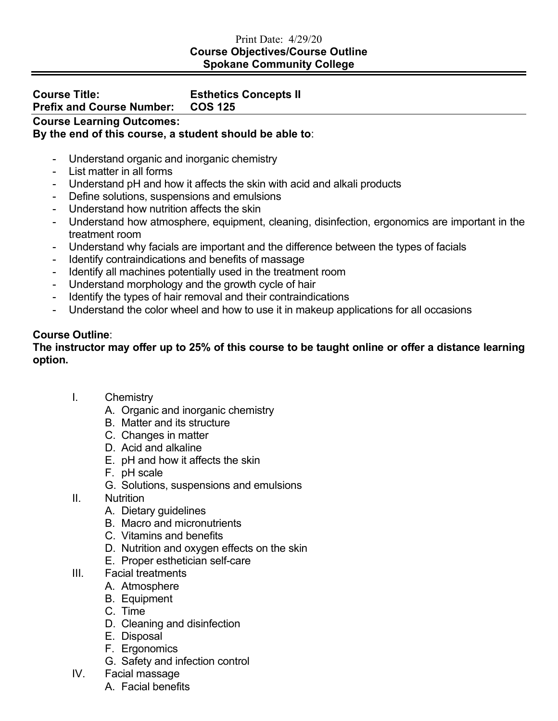### Print Date: 4/29/20 **Course Objectives/Course Outline Spokane Community College**

### **Course Title: Esthetics Concepts II Prefix and Course Number:**

## **Course Learning Outcomes:**

# **By the end of this course, a student should be able to**:

- Understand organic and inorganic chemistry
- List matter in all forms
- Understand pH and how it affects the skin with acid and alkali products
- Define solutions, suspensions and emulsions
- Understand how nutrition affects the skin
- Understand how atmosphere, equipment, cleaning, disinfection, ergonomics are important in the treatment room
- Understand why facials are important and the difference between the types of facials
- Identify contraindications and benefits of massage
- Identify all machines potentially used in the treatment room
- Understand morphology and the growth cycle of hair
- Identify the types of hair removal and their contraindications
- Understand the color wheel and how to use it in makeup applications for all occasions

## **Course Outline**:

## **The instructor may offer up to 25% of this course to be taught online or offer a distance learning option.**

- I. Chemistry
	- A. Organic and inorganic chemistry
	- B. Matter and its structure
	- C. Changes in matter
	- D. Acid and alkaline
	- E. pH and how it affects the skin
	- F. pH scale
	- G. Solutions, suspensions and emulsions
- II. Nutrition
	- A. Dietary guidelines
	- B. Macro and micronutrients
	- C. Vitamins and benefits
	- D. Nutrition and oxygen effects on the skin
	- E. Proper esthetician self-care
- III. Facial treatments
	- A. Atmosphere
	- B. Equipment
	- C. Time
	- D. Cleaning and disinfection
	- E. Disposal
	- F. Ergonomics
	- G. Safety and infection control
- IV. Facial massage
	- A. Facial benefits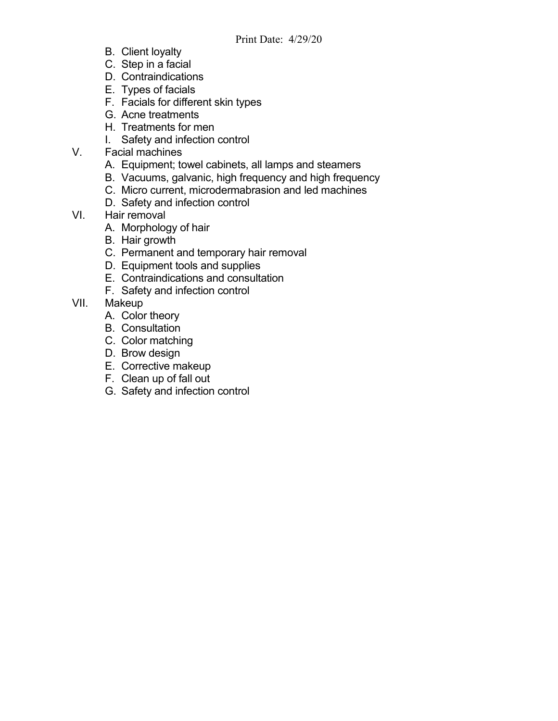- B. Client loyalty
- C. Step in a facial
- D. Contraindications
- E. Types of facials
- F. Facials for different skin types
- G. Acne treatments
- H. Treatments for men
- I. Safety and infection control
- V. Facial machines
	- A. Equipment; towel cabinets, all lamps and steamers
	- B. Vacuums, galvanic, high frequency and high frequency
	- C. Micro current, microdermabrasion and led machines
	- D. Safety and infection control
- VI. Hair removal
	- A. Morphology of hair
	- B. Hair growth
	- C. Permanent and temporary hair removal
	- D. Equipment tools and supplies
	- E. Contraindications and consultation
	- F. Safety and infection control
- VII. Makeup
	- A. Color theory
	- B. Consultation
	- C. Color matching
	- D. Brow design
	- E. Corrective makeup
	- F. Clean up of fall out
	- G. Safety and infection control